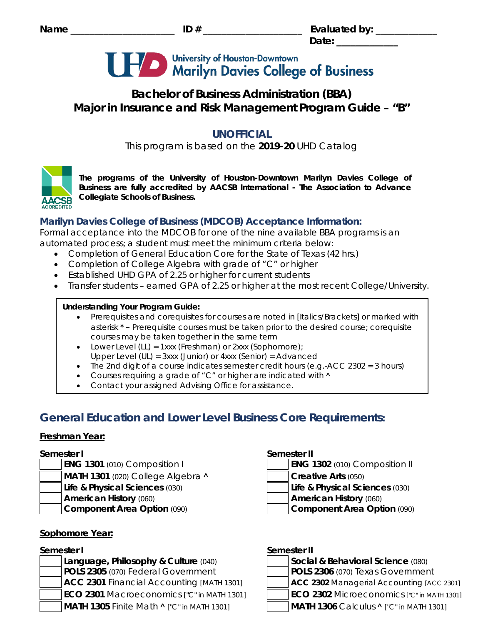# University of Houston-Downtown<br>Marilyn Davies College of Business

# **Bachelor of Business Administration (BBA) Major in Insurance and Risk Management Program Guide – "B"**

# **UNOFFICIAL**

This program is based on the **2019-20** UHD Catalog



*The programs of the University of Houston-Downtown Marilyn Davies College of Business are fully accredited by AACSB International - The Association to Advance Collegiate Schools of Business.*

# **Marilyn Davies College of Business (MDCOB) Acceptance Information:**

Formal acceptance into the MDCOB for one of the nine available BBA programs is an automated process; a student must meet the minimum criteria below:

- Completion of General Education Core for the State of Texas (42 hrs.)
- Completion of College Algebra with grade of "C" or higher
- Established UHD GPA of 2.25 or higher for current students
- Transfer students earned GPA of 2.25 or higher at the most recent College/University.

# **Understanding Your Program Guide:**

- Prerequisites and corequisites for courses are noted in *[Italics/Brackets]* or marked with asterisk \* – Prerequisite courses must be taken prior to the desired course; corequisite courses may be taken together in the same term
- Lower Level (LL) = 1xxx (Freshman) or 2xxx (Sophomore);
- Upper Level (UL) = 3xxx (Junior) or 4xxx (Senior) = Advanced
- The 2nd digit of a course indicates semester credit hours (e.g.-ACC 2302 = 3 hours)
- Courses requiring a grade of "C" or higher are indicated with  $\wedge$
- Contact your assigned Advising Office for assistance.

# **General Education and Lower Level Business Core Requirements:**

# **Freshman Year:**

- 
- **MATH 1301** (020) College Algebra **^**  $\vert$  **creative Arts** (050)
- 
- 
- 

# **Sophomore Year:**

**Language, Philosophy & Culture (040) POLS 2305** (070) Federal Government **ACC 2301 Financial Accounting** *[MATH 1301]*  **ECO 2301** Macroeconomics *["C" in MATH 1301]* **ECO 2302** Microeconomics *["C" in MATH 1301]* **MATH 1305** Finite Math **˄** *["C" in MATH 1301]* **MATH 1306** Calculus **˄** *["C" in MATH 1301]*

# **Semester I Semester II**

**ENG 1301** (010) Composition I **ENG 1302** (010) Composition II

- **Life & Physical Sciences** (030) **Life & Physical Sciences** (030)
- **American History** (060) **American History** (060)
- **Component Area Option** (090) **Component Area Option** (090)

# **Semester I Semester II**

|  | Social & Behavioral Science (080)                      |  |  |
|--|--------------------------------------------------------|--|--|
|  | POLS 2306 (070) Texas Government                       |  |  |
|  | ACC 2302 Managerial Accounting [ACC 2301]              |  |  |
|  | $\Gamma$ CO 2202 Microscoperics $\Gamma$ <sup>21</sup> |  |  |